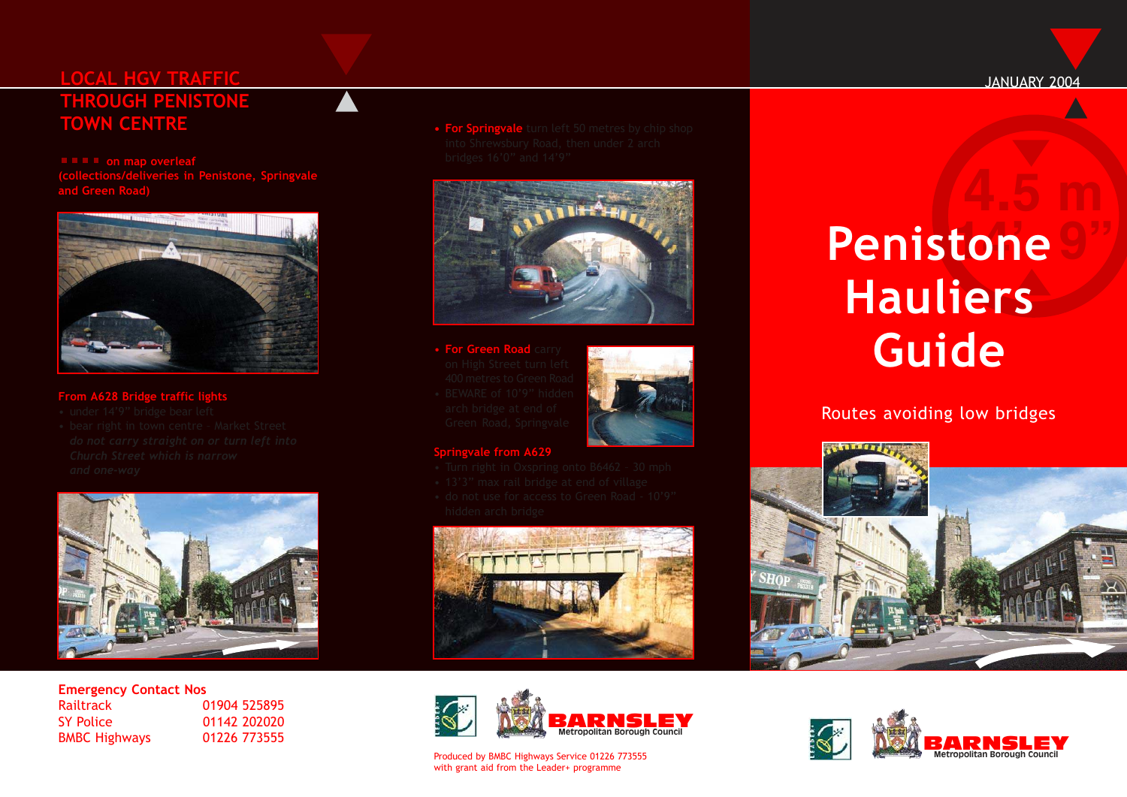## **LOCAL HGV TRAFFIC THROUGH PENISTONE TOWN CENTRE**

**on map overleaf (collections/deliveries in Penistone, Springvale**



#### **From A628 Bridge traffic lights**

- 
- 



# **Emergency Contact Nos**<br>**Railtrack** (

SY Police 01142 202020 BMBC Highways 01226 773555

01904 525895

**• For Springvale** turn left 50 metres by chip shop



- **For Green Road** carry
- 



#### **Springvale from A629**

- 
- 
- 





#### Produced by BMBC Highways Service 01226 773555 with grant aid from the Leader+ programme

# $P$ **enistone Hauliers Guide**

### Routes avoiding low bridges





#### JANUARY 2004